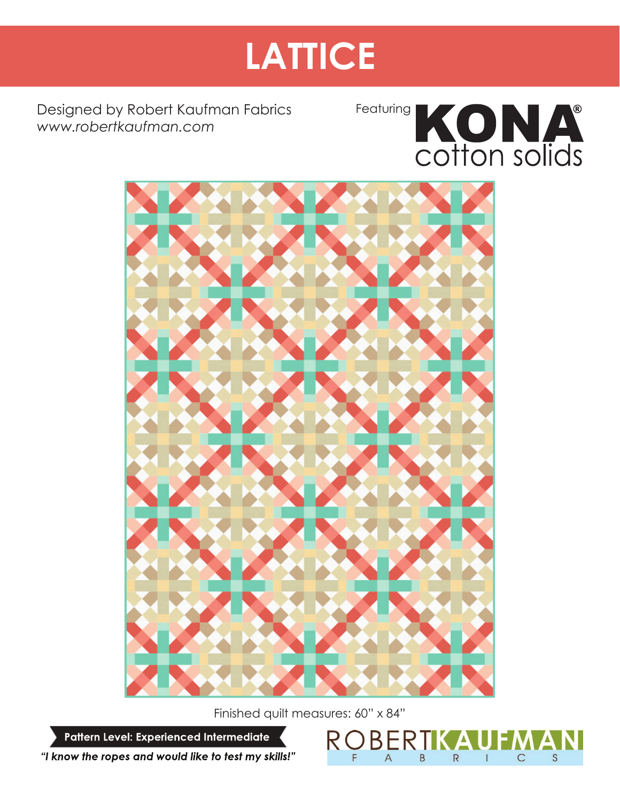# **LATTICE**

Designed by Robert Kaufman Fabrics *www.robertkaufman.com*





Finished quilt measures: 60" x 84"

**BER** 

 $\overline{A}$ 

B

 $\overline{R}$ 

S

 $\mathsf{C}$ 

Pattern Level: Experienced Intermediate

"I know the ropes and would like to test my skills!"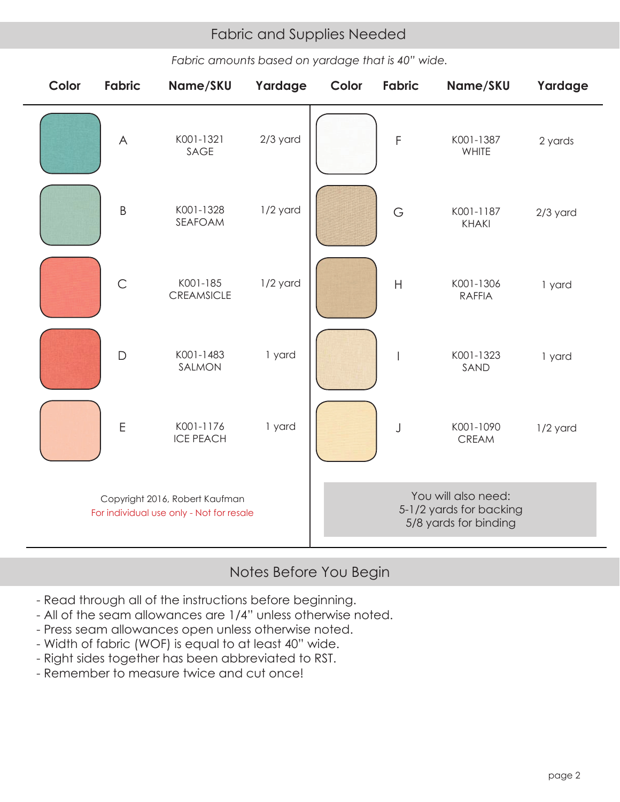## Fabric and Supplies Needed Fabric and Supplies Needed

*Fabric amounts based on yardage that is 40" wide.*

| Color                                                                      | <b>Fabric</b> | Name/SKU                      | Yardage    | Color                                                                   | <b>Fabric</b>  | Name/SKU                   | Yardage    |
|----------------------------------------------------------------------------|---------------|-------------------------------|------------|-------------------------------------------------------------------------|----------------|----------------------------|------------|
|                                                                            | $\wedge$      | K001-1321<br>SAGE             | $2/3$ yard |                                                                         | $\mathsf F$    | K001-1387<br>WHITE         | 2 yards    |
|                                                                            | $\mathsf B$   | K001-1328<br>SEAFOAM          | 1/2 yard   |                                                                         | G              | K001-1187<br><b>KHAKI</b>  | $2/3$ yard |
|                                                                            | $\mathsf{C}$  | K001-185<br><b>CREAMSICLE</b> | 1/2 yard   |                                                                         | $\overline{H}$ | K001-1306<br><b>RAFFIA</b> | 1 yard     |
|                                                                            | $\mathsf{D}$  | K001-1483<br>SALMON           | 1 yard     |                                                                         |                | K001-1323<br>SAND          | 1 yard     |
|                                                                            | $\mathsf E$   | K001-1176<br><b>ICE PEACH</b> | 1 yard     |                                                                         | J              | K001-1090<br>CREAM         | 1/2 yard   |
| Copyright 2016, Robert Kaufman<br>For individual use only - Not for resale |               |                               |            | You will also need:<br>5-1/2 yards for backing<br>5/8 yards for binding |                |                            |            |

# Notes Before You Begin

- Read through all of the instructions before beginning.
- All of the seam allowances are 1/4" unless otherwise noted.
- Press seam allowances open unless otherwise noted.
- Width of fabric (WOF) is equal to at least 40" wide.
- Right sides together has been abbreviated to RST.
- Remember to measure twice and cut once!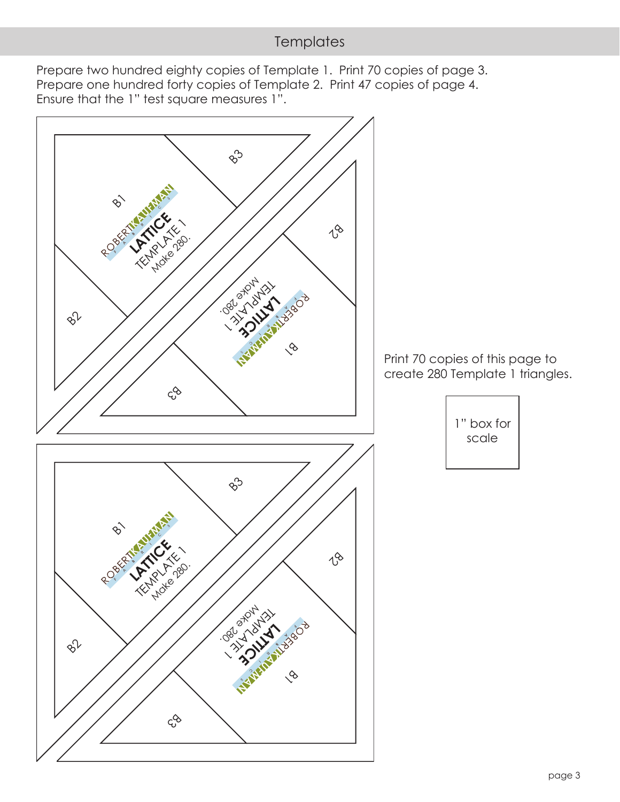# **Templates**

Prepare two hundred eighty copies of Template 1. Print 70 copies of page 3. Prepare one hundred forty copies of Template 2. Print 47 copies of page 4. Ensure that the 1" test square measures 1".

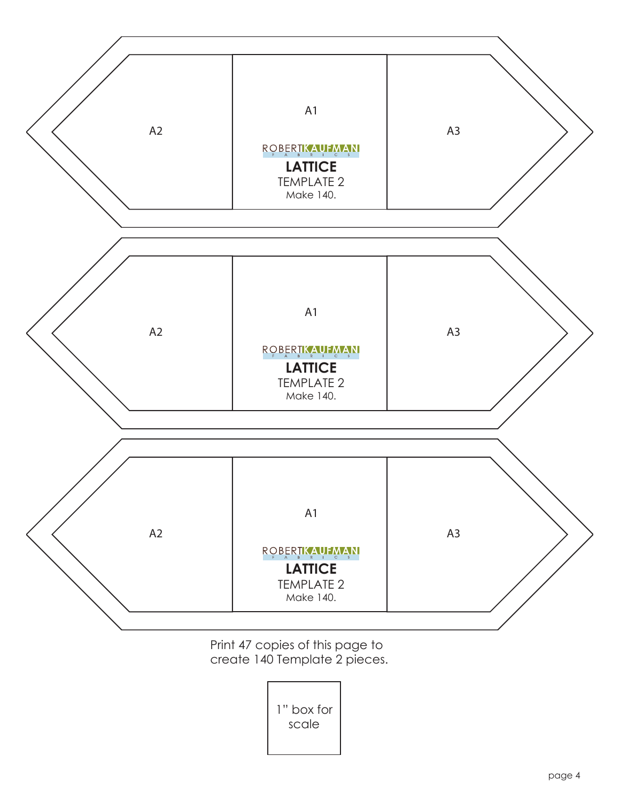

Print 47 copies of this page to create 140 Template 2 pieces.

> 1" box for scale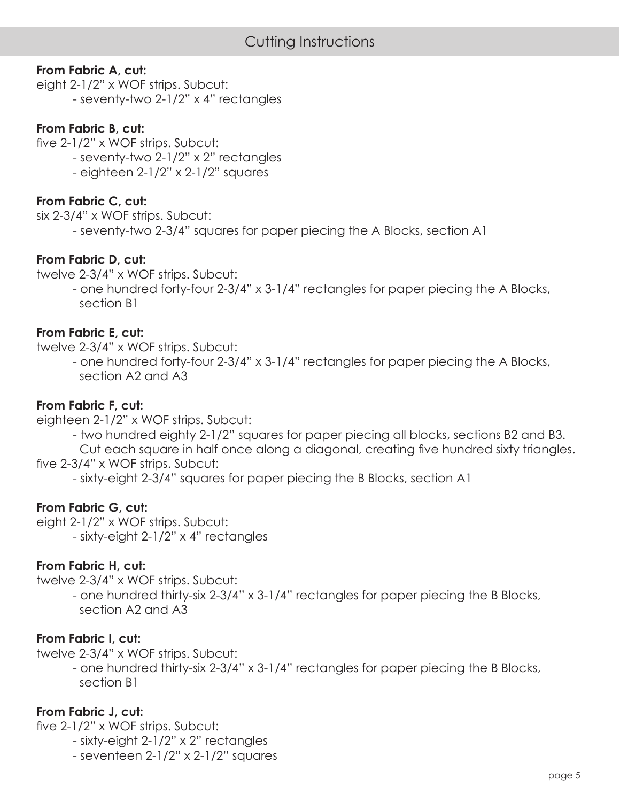#### **From Fabric A, cut:**

eight 2-1/2" x WOF strips. Subcut: - seventy-two 2-1/2" x 4" rectangles

#### **From Fabric B, cut:**

five 2-1/2" x WOF strips. Subcut:

- seventy-two 2-1/2" x 2" rectangles
- eighteen 2-1/2" x 2-1/2" squares

#### **From Fabric C, cut:**

six 2-3/4" x WOF strips. Subcut:

- seventy-two 2-3/4" squares for paper piecing the A Blocks, section A1

#### **From Fabric D, cut:**

twelve 2-3/4" x WOF strips. Subcut:

 - one hundred forty-four 2-3/4" x 3-1/4" rectangles for paper piecing the A Blocks, section B1

#### **From Fabric E, cut:**

twelve 2-3/4" x WOF strips. Subcut:

 - one hundred forty-four 2-3/4" x 3-1/4" rectangles for paper piecing the A Blocks, section A2 and A3

#### **From Fabric F, cut:**

eighteen 2-1/2" x WOF strips. Subcut:

- two hundred eighty 2-1/2" squares for paper piecing all blocks, sections B2 and B3.

Cut each square in half once along a diagonal, creating five hundred sixty triangles. five 2-3/4" x WOF strips. Subcut:

- sixty-eight 2-3/4" squares for paper piecing the B Blocks, section A1

#### **From Fabric G, cut:**

eight 2-1/2" x WOF strips. Subcut: - sixty-eight 2-1/2" x 4" rectangles

#### **From Fabric H, cut:**

twelve 2-3/4" x WOF strips. Subcut:

 - one hundred thirty-six 2-3/4" x 3-1/4" rectangles for paper piecing the B Blocks, section A2 and A3

#### **From Fabric I, cut:**

twelve 2-3/4" x WOF strips. Subcut:

 - one hundred thirty-six 2-3/4" x 3-1/4" rectangles for paper piecing the B Blocks, section B1

#### **From Fabric J, cut:**

five 2-1/2" x WOF strips. Subcut:

- sixty-eight 2-1/2" x 2" rectangles
- seventeen 2-1/2" x 2-1/2" squares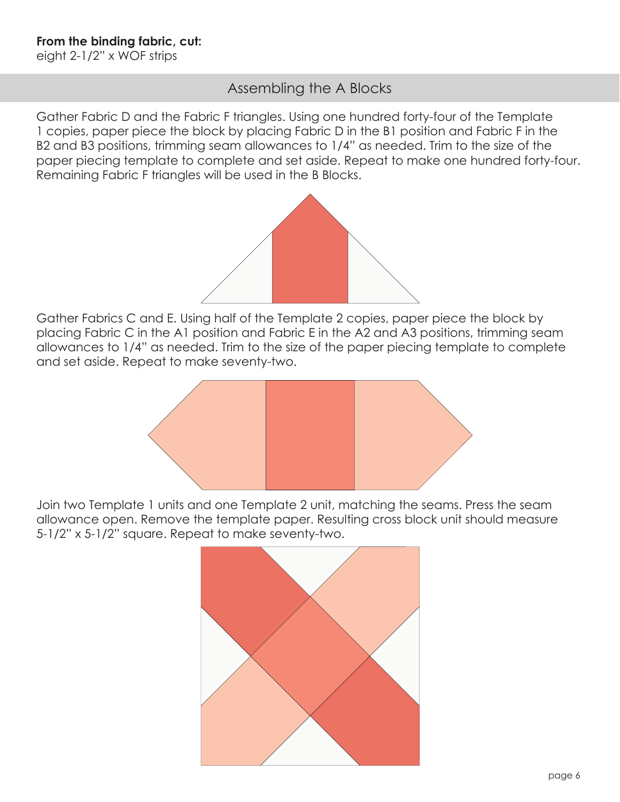## Assembling the A Blocks

Gather Fabric D and the Fabric F triangles. Using one hundred forty-four of the Template 1 copies, paper piece the block by placing Fabric D in the B1 position and Fabric F in the B2 and B3 positions, trimming seam allowances to 1/4" as needed. Trim to the size of the paper piecing template to complete and set aside. Repeat to make one hundred forty-four. Remaining Fabric F triangles will be used in the B Blocks.



Gather Fabrics C and E. Using half of the Template 2 copies, paper piece the block by placing Fabric C in the A1 position and Fabric E in the A2 and A3 positions, trimming seam allowances to 1/4" as needed. Trim to the size of the paper piecing template to complete and set aside. Repeat to make seventy-two.



Join two Template 1 units and one Template 2 unit, matching the seams. Press the seam allowance open. Remove the template paper. Resulting cross block unit should measure 5-1/2" x 5-1/2" square. Repeat to make seventy-two.

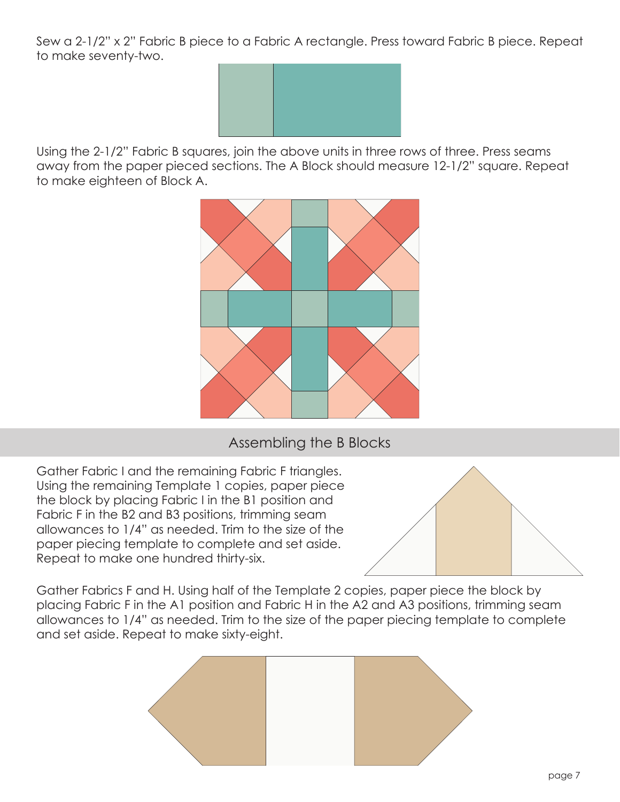Sew a 2-1/2" x 2" Fabric B piece to a Fabric A rectangle. Press toward Fabric B piece. Repeat to make seventy-two.



Using the 2-1/2" Fabric B squares, join the above units in three rows of three. Press seams away from the paper pieced sections. The A Block should measure 12-1/2" square. Repeat to make eighteen of Block A.



### Assembling the B Blocks

Gather Fabric I and the remaining Fabric F triangles. Using the remaining Template 1 copies, paper piece the block by placing Fabric I in the B1 position and Fabric F in the B2 and B3 positions, trimming seam allowances to 1/4" as needed. Trim to the size of the paper piecing template to complete and set aside. Repeat to make one hundred thirty-six.



Gather Fabrics F and H. Using half of the Template 2 copies, paper piece the block by placing Fabric F in the A1 position and Fabric H in the A2 and A3 positions, trimming seam allowances to 1/4" as needed. Trim to the size of the paper piecing template to complete and set aside. Repeat to make sixty-eight.

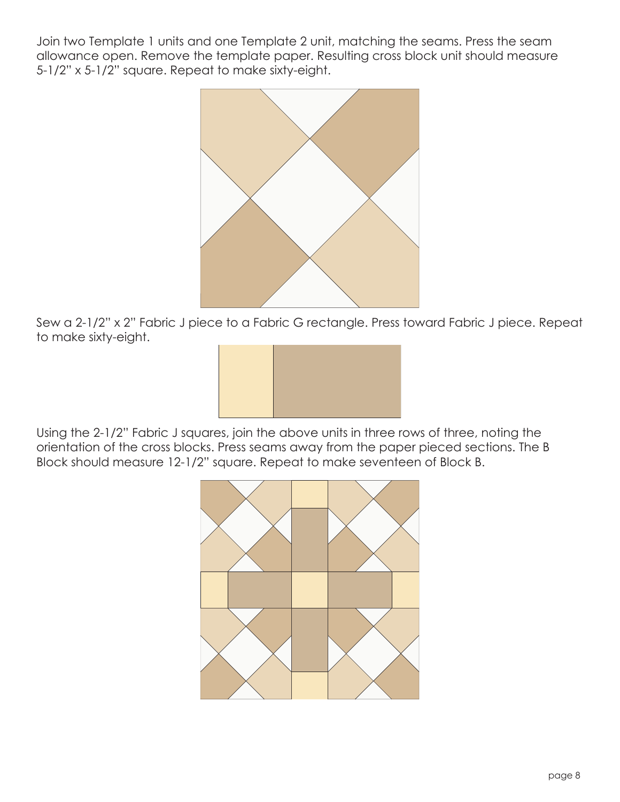Join two Template 1 units and one Template 2 unit, matching the seams. Press the seam allowance open. Remove the template paper. Resulting cross block unit should measure 5-1/2" x 5-1/2" square. Repeat to make sixty-eight.



Sew a 2-1/2" x 2" Fabric J piece to a Fabric G rectangle. Press toward Fabric J piece. Repeat to make sixty-eight.



Using the 2-1/2" Fabric J squares, join the above units in three rows of three, noting the orientation of the cross blocks. Press seams away from the paper pieced sections. The B Block should measure 12-1/2" square. Repeat to make seventeen of Block B.